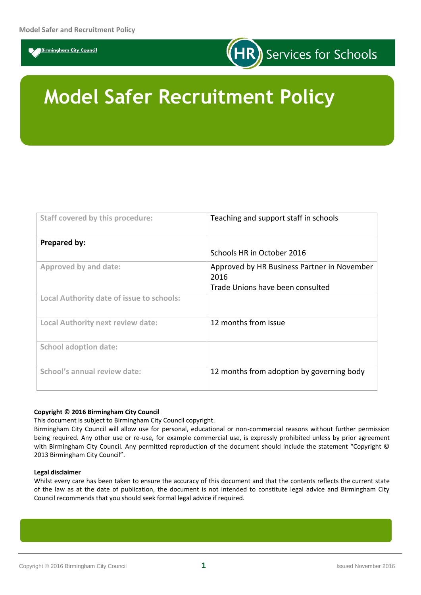



# **Model Safer Recruitment Policy**

| <b>Staff covered by this procedure:</b>   | Teaching and support staff in schools               |
|-------------------------------------------|-----------------------------------------------------|
| Prepared by:                              |                                                     |
|                                           | Schools HR in October 2016                          |
| Approved by and date:                     | Approved by HR Business Partner in November<br>2016 |
|                                           | Trade Unions have been consulted                    |
| Local Authority date of issue to schools: |                                                     |
| Local Authority next review date:         | 12 months from issue                                |
| <b>School adoption date:</b>              |                                                     |
| School's annual review date:              | 12 months from adoption by governing body           |

#### **Copyright © 2016 Birmingham City Council**

This document is subject to Birmingham City Council copyright.

Birmingham City Council will allow use for personal, educational or non-commercial reasons without further permission being required. Any other use or re-use, for example commercial use, is expressly prohibited unless by prior agreement with Birmingham City Council. Any permitted reproduction of the document should include the statement "Copyright © 2013 Birmingham City Council".

#### **Legal disclaimer**

Whilst every care has been taken to ensure the accuracy of this document and that the contents reflects the current state of the law as at the date of publication, the document is not intended to constitute legal advice and Birmingham City Council recommends that you should seek formal legal advice if required.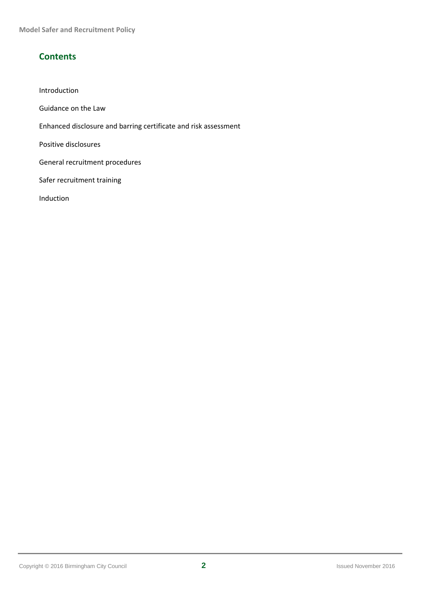**Model Safer and Recruitment Policy**

## **Contents**

- Introduction
- Guidance on the Law
- Enhanced disclosure and barring certificate and risk assessment

Positive disclosures

General recruitment procedures

Safer recruitment training

Induction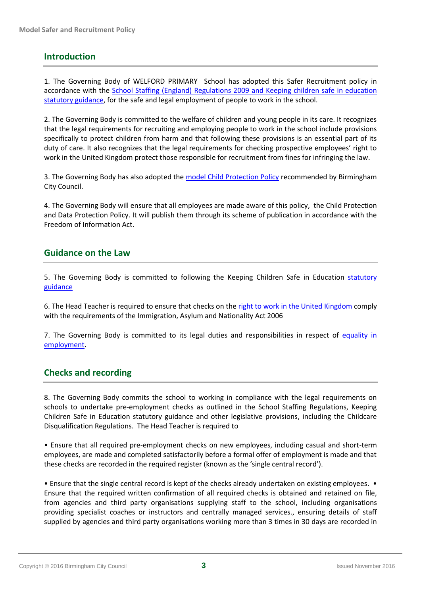## **Introduction**

1. The Governing Body of WELFORD PRIMARY School has adopted this Safer Recruitment policy in accordance with the [School Staffing \(England\) Regulations 2009](http://www.legislation.gov.uk/2009/2680?title=School%20Staffing%20Regulations) and [Keeping children safe in education](https://www.gov.uk/government/publications/keeping-children-safe-in-education--2)  [statutory guidance,](https://www.gov.uk/government/publications/keeping-children-safe-in-education--2) for the safe and legal employment of people to work in the school.

2. The Governing Body is committed to the welfare of children and young people in its care. It recognizes that the legal requirements for recruiting and employing people to work in the school include provisions specifically to protect children from harm and that following these provisions is an essential part of its duty of care. It also recognizes that the legal requirements for checking prospective employees' right to work in the United Kingdom protect those responsible for recruitment from fines for infringing the law.

3. The Governing Body has also adopted th[e model Child Protection Policy](http://www.lscbbirmingham.org.uk/images/stories/Section_16.doc) recommended by Birmingham City Council.

4. The Governing Body will ensure that all employees are made aware of this policy, the Child Protection and Data Protection Policy. It will publish them through its scheme of publication in accordance with the Freedom of Information Act.

## **Guidance on the Law**

5. The Governing Body is committed to following the Keeping Children Safe in Education [statutory](https://www.gov.uk/government/publications/keeping-children-safe-in-education--2)  [guidance](https://www.gov.uk/government/publications/keeping-children-safe-in-education--2)

6. The Head Teacher is required to ensure that checks on the [right to work in the United Kingdom](https://schoolshr.birmingham.gov.uk/irj/portal/hrservices/ASCC-AS-RTW-GUI002#preventionofillegalworking) comply with the requirements of the Immigration, Asylum and Nationality Act 2006

7. The Governing Body is committed to its legal duties and responsibilities in respect of [equality in](http://www.teachernet.gov.uk/_doc/11059/Equality_legislation___guide_for_schools_V2__2__1.pdf)  [employment.](http://www.teachernet.gov.uk/_doc/11059/Equality_legislation___guide_for_schools_V2__2__1.pdf)

## **Checks and recording**

8. The Governing Body commits the school to working in compliance with the legal requirements on schools to undertake pre-employment checks as outlined in the School Staffing Regulations, Keeping Children Safe in Education statutory guidance and other legislative provisions, including the Childcare Disqualification Regulations. The Head Teacher is required to

• Ensure that all required pre-employment checks on new employees, including casual and short-term employees, are made and completed satisfactorily before a formal offer of employment is made and that these checks are recorded in the required register (known as the 'single central record').

• Ensure that the single central record is kept of the checks already undertaken on existing employees. • Ensure that the required written confirmation of all required checks is obtained and retained on file, from agencies and third party organisations supplying staff to the school, including organisations providing specialist coaches or instructors and centrally managed services., ensuring details of staff supplied by agencies and third party organisations working more than 3 times in 30 days are recorded in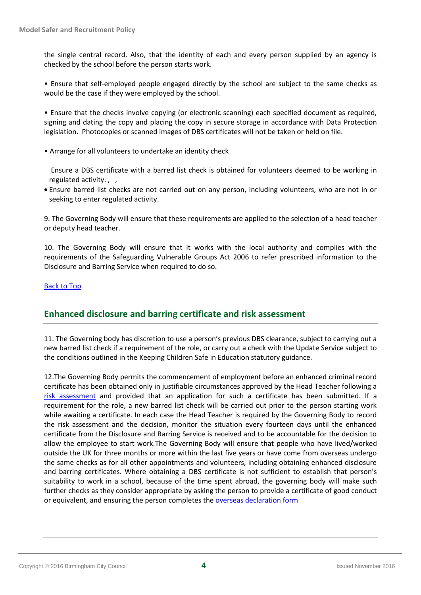the single central record. Also, that the identity of each and every person supplied by an agency is checked by the school before the person starts work.

• Ensure that self-employed people engaged directly by the school are subject to the same checks as would be the case if they were employed by the school.

• Ensure that the checks involve copying (or electronic scanning) each specified document as required, signing and dating the copy and placing the copy in secure storage in accordance with Data Protection legislation. Photocopies or scanned images of DBS certificates will not be taken or held on file.

• Arrange for all volunteers to undertake an identity check

Ensure a DBS certificate with a barred list check is obtained for volunteers deemed to be working in regulated activity., ,

 Ensure barred list checks are not carried out on any person, including volunteers, who are not in or seeking to enter regulated activity.

9. The Governing Body will ensure that these requirements are applied to the selection of a head teacher or deputy head teacher.

10. The Governing Body will ensure that it works with the local authority and complies with the requirements of the Safeguarding Vulnerable Groups Act 2006 to refer prescribed information to the Disclosure and Barring Service when required to do so.

#### [Back to Top](https://schoolshr.birmingham.gov.uk/cs/Satellite?pagename=SchoolsHR%2FSHR%2FCommon%2FSHRWrapper&SAPEnvironment=EXPGOVSSL&contentID=ASCC-AS-SAFREC-POL&contentType=SHR_Category_C#Top)

## **Enhanced disclosure and barring certificate and risk assessment**

11. The Governing body has discretion to use a person's previous DBS clearance, subject to carrying out a new barred list check if a requirement of the role, or carry out a check with the Update Service subject to the conditions outlined in the Keeping Children Safe in Education statutory guidance.

12.The Governing Body permits the commencement of employment before an enhanced criminal record certificate has been obtained only in justifiable circumstances approved by the Head Teacher following a [risk assessment](https://schoolshr.birmingham.gov.uk/irj/portal/hrservices/ASCC-AS-CRB-GUI) and provided that an application for such a certificate has been submitted. If a requirement for the role, a new barred list check will be carried out prior to the person starting work while awaiting a certificate. In each case the Head Teacher is required by the Governing Body to record the risk assessment and the decision, monitor the situation every fourteen days until the enhanced certificate from the Disclosure and Barring Service is received and to be accountable for the decision to allow the employee to start work.The Governing Body will ensure that people who have lived/worked outside the UK for three months or more within the last five years or have come from overseas undergo the same checks as for all other appointments and volunteers, including obtaining enhanced disclosure and barring certificates. Where obtaining a DBS certificate is not sufficient to establish that person's suitability to work in a school, because of the time spent abroad, the governing body will make such further checks as they consider appropriate by asking the person to provide a certificate of good conduct or equivalent, and ensuring the person completes th[e overseas declaration form](https://schoolshr.birmingham.gov.uk/irj/portal/hrservices/ASCC-AS-CRB-GUI)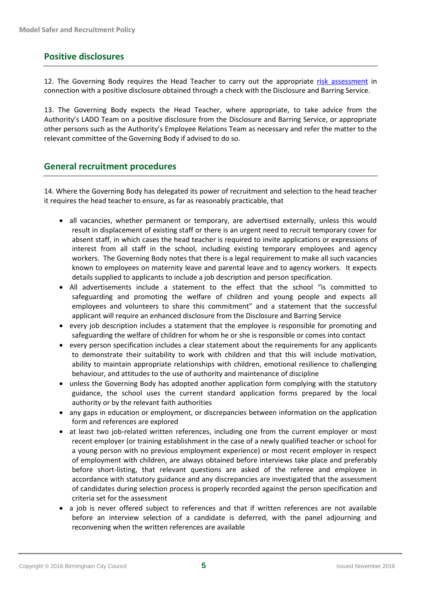## **Positive disclosures**

12. The Governing Body requires the Head Teacher to carry out the appropriate [risk assessment](https://schoolshr.birmingham.gov.uk/irj/portal/hrservices/ASCC-AS-CRB-GUI) in connection with a positive disclosure obtained through a check with the Disclosure and Barring Service.

13. The Governing Body expects the Head Teacher, where appropriate, to take advice from the Authority's LADO Team on a positive disclosure from the Disclosure and Barring Service, or appropriate other persons such as the Authority's Employee Relations Team as necessary and refer the matter to the relevant committee of the Governing Body if advised to do so.

## **General recruitment procedures**

14. Where the Governing Body has delegated its power of recruitment and selection to the head teacher it requires the head teacher to ensure, as far as reasonably practicable, that

- all vacancies, whether permanent or temporary, are advertised externally, unless this would result in displacement of existing staff or there is an urgent need to recruit temporary cover for absent staff, in which cases the head teacher is required to invite applications or expressions of interest from all staff in the school, including existing temporary employees and agency workers. The Governing Body notes that there is a legal requirement to make all such vacancies known to employees on maternity leave and parental leave and to agency workers. It expects details supplied to applicants to include a job description and person specification.
- All advertisements include a statement to the effect that the school "is committed to safeguarding and promoting the welfare of children and young people and expects all employees and volunteers to share this commitment" and a statement that the successful applicant will require an enhanced disclosure from the Disclosure and Barring Service
- every job description includes a statement that the employee is responsible for promoting and safeguarding the welfare of children for whom he or she is responsible or comes into contact
- every person specification includes a clear statement about the requirements for any applicants to demonstrate their suitability to work with children and that this will include motivation, ability to maintain appropriate relationships with children, emotional resilience to challenging behaviour, and attitudes to the use of authority and maintenance of discipline
- unless the Governing Body has adopted another application form complying with the statutory guidance, the school uses the current standard application forms prepared by the local authority or by the relevant faith authorities
- any gaps in education or employment, or discrepancies between information on the application form and references are explored
- at least two job-related written references, including one from the current employer or most recent employer (or training establishment in the case of a newly qualified teacher or school for a young person with no previous employment experience) or most recent employer in respect of employment with children, are always obtained before interviews take place and preferably before short-listing, that relevant questions are asked of the referee and employee in accordance with statutory guidance and any discrepancies are investigated that the assessment of candidates during selection process is properly recorded against the person specification and criteria set for the assessment
- a job is never offered subject to references and that if written references are not available before an interview selection of a candidate is deferred, with the panel adjourning and reconvening when the written references are available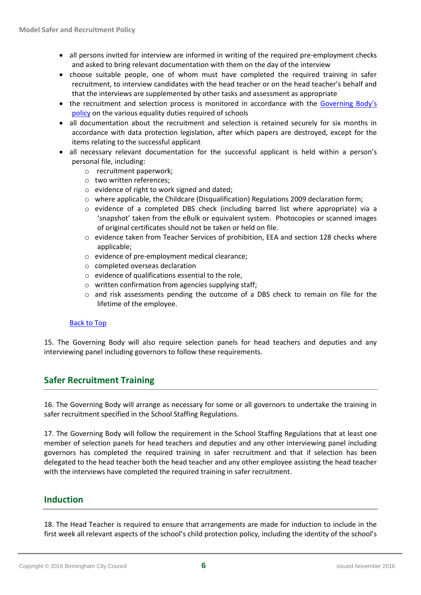- all persons invited for interview are informed in writing of the required pre-employment checks and asked to bring relevant documentation with them on the day of the interview
- choose suitable people, one of whom must have completed the required training in safer recruitment, to interview candidates with the head teacher or on the head teacher's behalf and that the interviews are supplemented by other tasks and assessment as appropriate
- the recruitment and selection process is monitored in accordance with the Governing Body's [policy](http://www.education.gov.uk/search/results?q=equality+duties) on the various equality duties required of schools
- all documentation about the recruitment and selection is retained securely for six months in accordance with data protection legislation, after which papers are destroyed, except for the items relating to the successful applicant
- all necessary relevant documentation for the successful applicant is held within a person's personal file, including:
	- o recruitment paperwork;
	- o two written references;
	- o evidence of right to work signed and dated;
	- $\circ$  where applicable, the Childcare (Disqualification) Regulations 2009 declaration form;
	- o evidence of a completed DBS check (including barred list where appropriate) via a 'snapshot' taken from the eBulk or equivalent system. Photocopies or scanned images of original certificates should not be taken or held on file.
	- o evidence taken from Teacher Services of prohibition, EEA and section 128 checks where applicable;
	- o evidence of pre-employment medical clearance;
	- o completed overseas declaration
	- $\circ$  evidence of qualifications essential to the role.
	- o written confirmation from agencies supplying staff;
	- o and risk assessments pending the outcome of a DBS check to remain on file for the lifetime of the employee.

#### [Back to Top](https://schoolshr.birmingham.gov.uk/cs/Satellite?pagename=SchoolsHR%2FSHR%2FCommon%2FSHRWrapper&SAPEnvironment=EXPGOVSSL&contentID=ASCC-AS-SAFREC-POL&contentType=SHR_Category_C#Top)

15. The Governing Body will also require selection panels for head teachers and deputies and any interviewing panel including governors to follow these requirements.

## **Safer Recruitment Training**

16. The Governing Body will arrange as necessary for some or all governors to undertake the training in safer recruitment specified in the School Staffing Regulations.

17. The Governing Body will follow the requirement in the School Staffing Regulations that at least one member of selection panels for head teachers and deputies and any other interviewing panel including governors has completed the required training in safer recruitment and that if selection has been delegated to the head teacher both the head teacher and any other employee assisting the head teacher with the interviews have completed the required training in safer recruitment.

## **Induction**

18. The Head Teacher is required to ensure that arrangements are made for induction to include in the first week all relevant aspects of the school's child protection policy, including the identity of the school's